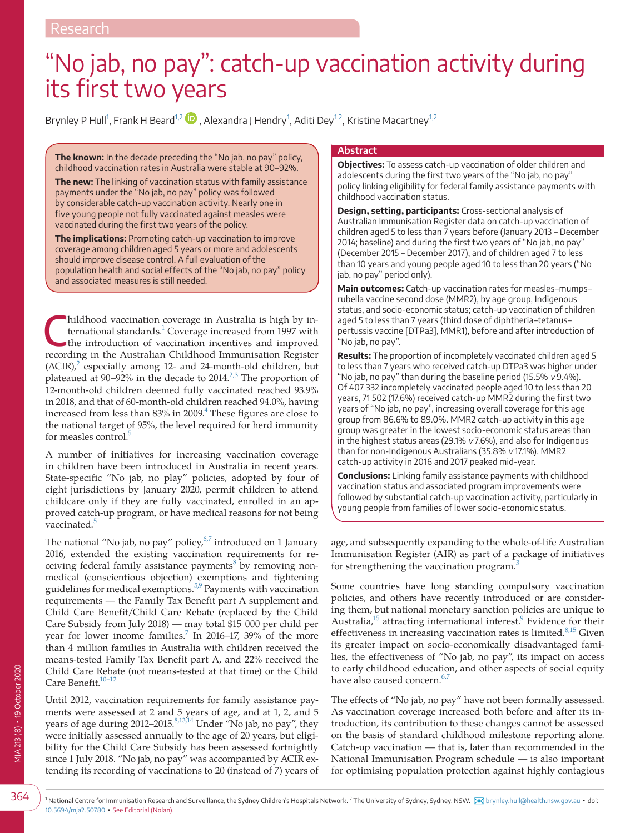# "No jab, no pay": catch-up vaccination activity during its first two years

Brynley P Hull<sup>[1](#page-0-0)</sup>, Frank H Beard<sup>[1,2](#page-0-0)</sup> ID , Alexandra J Hendry<sup>1</sup>, Aditi Dey<sup>1,2</sup>, Kristine Macartney<sup>1,2</sup>

**The known:** In the decade preceding the "No jab, no pay" policy, childhood vaccination rates in Australia were stable at 90–92%.

**The new:** The linking of vaccination status with family assistance payments under the "No jab, no pay" policy was followed by considerable catch-up vaccination activity. Nearly one in five young people not fully vaccinated against measles were vaccinated during the first two years of the policy.

**The implications:** Promoting catch-up vaccination to improve coverage among children aged 5 years or more and adolescents should improve disease control. A full evaluation of the population health and social effects of the "No jab, no pay" policy and associated measures is still needed.

Ihildhood vaccination coverage in Australia is high by international standards.<sup>1</sup> Coverage increased from 1997 with the introduction of vaccination incentives and improved recording in the Australian Childhood Immunisation Register  $(ACIR)<sup>2</sup>$  $(ACIR)<sup>2</sup>$  $(ACIR)<sup>2</sup>$  especially among 12- and 24-month-old children, but plateaued at 90–92% in the decade to 2014. $^{2,3}$  $^{2,3}$  $^{2,3}$  The proportion of 12-month-old children deemed fully vaccinated reached 93.9% in 2018, and that of 60-month-old children reached 94.0%, having increased from less than  $83\%$  in  $2009$ .<sup>[4](#page-4-2)</sup> These figures are close to the national target of 95%, the level required for herd immunity for measles control.<sup>[5](#page-4-3)</sup>

A number of initiatives for increasing vaccination coverage in children have been introduced in Australia in recent years. State-specific "No jab, no play" policies, adopted by four of eight jurisdictions by January 2020, permit children to attend childcare only if they are fully vaccinated, enrolled in an approved catch-up program, or have medical reasons for not being vaccinated.<sup>[5](#page-4-3)</sup>

The national "No jab, no pay" policy, $6\frac{7}{7}$  introduced on 1 January 2016, extended the existing vaccination requirements for re-ceiving federal family assistance payments<sup>[8](#page-4-5)</sup> by removing nonmedical (conscientious objection) exemptions and tightening guidelines for medical exemptions.<sup>5,9</sup> Payments with vaccination requirements — the Family Tax Benefit part A supplement and Child Care Benefit/Child Care Rebate (replaced by the Child Care Subsidy from July 2018) — may total \$15 000 per child per year for lower income families.<sup>[7](#page-4-6)</sup> In 2016–17, 39% of the more than 4 million families in Australia with children received the means-tested Family Tax Benefit part A, and 22% received the Child Care Rebate (not means-tested at that time) or the Child Care Benefit.<sup>10-12</sup>

<span id="page-0-0"></span>Until 2012, vaccination requirements for family assistance payments were assessed at 2 and 5 years of age, and at 1, 2, and 5 years of age during 2012–2015.<sup>[8,13,14](#page-4-5)</sup> Under "No jab, no pay", they were initially assessed annually to the age of 20 years, but eligibility for the Child Care Subsidy has been assessed fortnightly since 1 July 2018. "No jab, no pay" was accompanied by ACIR extending its recording of vaccinations to 20 (instead of 7) years of

#### **Abstract**

**Objectives:** To assess catch-up vaccination of older children and adolescents during the first two years of the "No jab, no pay" policy linking eligibility for federal family assistance payments with childhood vaccination status.

**Design, setting, participants:** Cross-sectional analysis of Australian Immunisation Register data on catch-up vaccination of children aged 5 to less than 7 years before (January 2013 – December 2014; baseline) and during the first two years of "No jab, no pay" (December 2015 – December 2017), and of children aged 7 to less than 10 years and young people aged 10 to less than 20 years ("No jab, no pay" period only).

**Main outcomes:** Catch-up vaccination rates for measles–mumps– rubella vaccine second dose (MMR2), by age group, Indigenous status, and socio-economic status; catch-up vaccination of children aged 5 to less than 7 years (third dose of diphtheria–tetanus– pertussis vaccine [DTPa3], MMR1), before and after introduction of "No jab, no pay".

**Results:** The proportion of incompletely vaccinated children aged 5 to less than 7 years who received catch-up DTPa3 was higher under "No jab, no pay" than during the baseline period (15.5%  $v$  9.4%). Of 407 332 incompletely vaccinated people aged 10 to less than 20 years, 71 502 (17.6%) received catch-up MMR2 during the first two years of "No jab, no pay", increasing overall coverage for this age group from 86.6% to 89.0%. MMR2 catch-up activity in this age group was greater in the lowest socio-economic status areas than in the highest status areas (29.1%  $v$  7.6%), and also for Indigenous than for non-Indigenous Australians (35.8% v 17.1%). MMR2 catch-up activity in 2016 and 2017 peaked mid-year.

**Conclusions:** Linking family assistance payments with childhood vaccination status and associated program improvements were followed by substantial catch-up vaccination activity, particularly in young people from families of lower socio-economic status.

age, and subsequently expanding to the whole-of-life Australian Immunisation Register (AIR) as part of a package of initiatives for strengthening the vaccination program.<sup>[3](#page-4-8)</sup>

Some countries have long standing compulsory vaccination policies, and others have recently introduced or are considering them, but national monetary sanction policies are unique to Australia,<sup>15</sup> attracting international interest.<sup>9</sup> Evidence for their effectiveness in increasing vaccination rates is limited. $8,15$  Given its greater impact on socio-economically disadvantaged families, the effectiveness of "No jab, no pay", its impact on access to early childhood education, and other aspects of social equity have also caused concern.<sup>6,7</sup>

The effects of "No jab, no pay" have not been formally assessed. As vaccination coverage increased both before and after its introduction, its contribution to these changes cannot be assessed on the basis of standard childhood milestone reporting alone. Catch-up vaccination — that is, later than recommended in the National Immunisation Program schedule — is also important for optimising population protection against highly contagious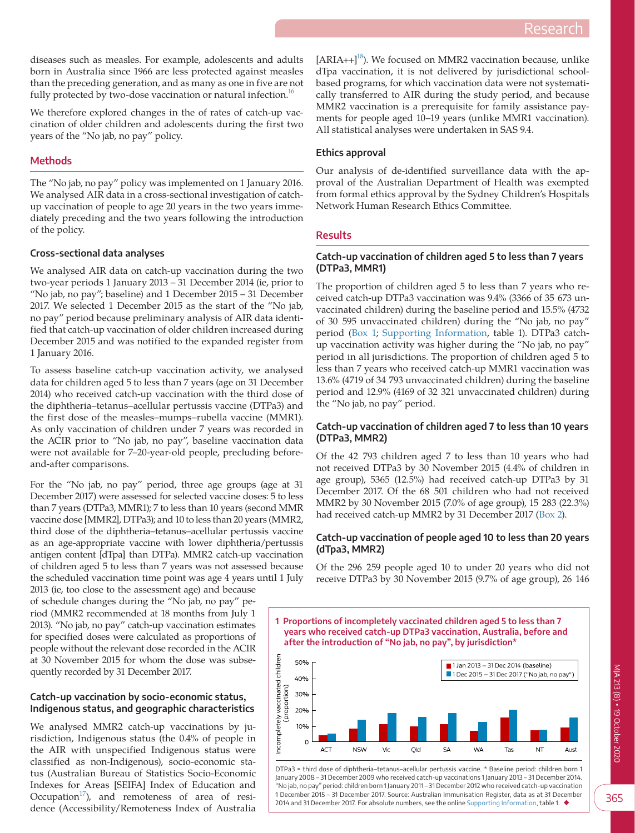diseases such as measles. For example, adolescents and adults born in Australia since 1966 are less protected against measles than the preceding generation, and as many as one in five are not fully protected by two-dose vaccination or natural infection. $^{16}$ 

We therefore explored changes in the of rates of catch-up vaccination of older children and adolescents during the first two years of the "No jab, no pay" policy.

#### **Methods**

The "No jab, no pay" policy was implemented on 1 January 2016. We analysed AIR data in a cross-sectional investigation of catchup vaccination of people to age 20 years in the two years immediately preceding and the two years following the introduction of the policy.

#### **Cross-sectional data analyses**

We analysed AIR data on catch-up vaccination during the two two-year periods 1 January 2013 – 31 December 2014 (ie, prior to "No jab, no pay"; baseline) and 1 December 2015 – 31 December 2017. We selected 1 December 2015 as the start of the "No jab, no pay" period because preliminary analysis of AIR data identified that catch-up vaccination of older children increased during December 2015 and was notified to the expanded register from 1 January 2016.

To assess baseline catch-up vaccination activity, we analysed data for children aged 5 to less than 7 years (age on 31 December 2014) who received catch-up vaccination with the third dose of the diphtheria–tetanus–acellular pertussis vaccine (DTPa3) and the first dose of the measles–mumps–rubella vaccine (MMR1). As only vaccination of children under 7 years was recorded in the ACIR prior to "No jab, no pay", baseline vaccination data were not available for 7–20-year-old people, precluding beforeand-after comparisons.

For the "No jab, no pay" period, three age groups (age at 31 December 2017) were assessed for selected vaccine doses: 5 to less than 7 years (DTPa3, MMR1); 7 to less than 10 years (second MMR vaccine dose [MMR2], DTPa3); and 10 to less than 20 years (MMR2, third dose of the diphtheria–tetanus–acellular pertussis vaccine as an age-appropriate vaccine with lower diphtheria/pertussis antigen content [dTpa] than DTPa). MMR2 catch-up vaccination of children aged 5 to less than 7 years was not assessed because the scheduled vaccination time point was age 4 years until 1 July

2013 (ie, too close to the assessment age) and because of schedule changes during the "No jab, no pay" period (MMR2 recommended at 18 months from July 1 2013). "No jab, no pay" catch-up vaccination estimates for specified doses were calculated as proportions of people without the relevant dose recorded in the ACIR at 30 November 2015 for whom the dose was subsequently recorded by 31 December 2017.

#### **Catch-up vaccination by socio-economic status, Indigenous status, and geographic characteristics**

We analysed MMR2 catch-up vaccinations by jurisdiction, Indigenous status (the 0.4% of people in the AIR with unspecified Indigenous status were classified as non-Indigenous), socio-economic status (Australian Bureau of Statistics Socio-Economic Indexes for Areas [SEIFA] Index of Education and Occupation<sup>17</sup>), and remoteness of area of residence (Accessibility/Remoteness Index of Australia  $[ARIA++]^{18}$ ). We focused on MMR2 vaccination because, unlike dTpa vaccination, it is not delivered by jurisdictional schoolbased programs, for which vaccination data were not systematically transferred to AIR during the study period, and because MMR2 vaccination is a prerequisite for family assistance payments for people aged 10–19 years (unlike MMR1 vaccination). All statistical analyses were undertaken in SAS 9.4.

#### **Ethics approval**

Our analysis of de-identified surveillance data with the approval of the Australian Department of Health was exempted from formal ethics approval by the Sydney Children's Hospitals Network Human Research Ethics Committee.

#### **Results**

 $10%$  $\Omega$ **ACT** 

**NSW** 

# **Catch-up vaccination of children aged 5 to less than 7 years (DTPa3, MMR1)**

The proportion of children aged 5 to less than 7 years who received catch-up DTPa3 vaccination was 9.4% (3366 of 35 673 unvaccinated children) during the baseline period and 15.5% (4732 of 30 595 unvaccinated children) during the "No jab, no pay" period ([Box 1;](#page-1-0) [Supporting Information,](#page-5-4) table 1). DTPa3 catchup vaccination activity was higher during the "No jab, no pay" period in all jurisdictions. The proportion of children aged 5 to less than 7 years who received catch-up MMR1 vaccination was 13.6% (4719 of 34 793 unvaccinated children) during the baseline period and 12.9% (4169 of 32 321 unvaccinated children) during the "No jab, no pay" period.

# **Catch-up vaccination of children aged 7 to less than 10 years (DTPa3, MMR2)**

Of the 42 793 children aged 7 to less than 10 years who had not received DTPa3 by 30 November 2015 (4.4% of children in age group), 5365 (12.5%) had received catch-up DTPa3 by 31 December 2017. Of the 68 501 children who had not received MMR2 by 30 November 2015 (7.0% of age group), 15 283 (22.3%) had received catch-up MMR2 by 31 December 2017 ([Box 2\)](#page-2-0).

#### **Catch-up vaccination of people aged 10 to less than 20 years (dTpa3, MMR2)**

Of the 296 259 people aged 10 to under 20 years who did not receive DTPa3 by 30 November 2015 (9.7% of age group), 26 146

<span id="page-1-0"></span>**1 Proportions of incompletely vaccinated children aged 5 to less than 7 years who received catch-up DTPa3 vaccination, Australia, before and after the introduction of "No jab, no pay", by jurisdiction\*** ncompletely vaccinated children 50%  $\blacksquare$  1 Jan 2013 - 31 Dec 2014 (baseline) 1 Dec 2015 - 31 Dec 2017 ("No jab, no pay")  $40%$ (proportion) 30% 20%



DTPa3 = third dose of diphtheria–tetanus–acellular pertussis vaccine. \* Baseline period: children born 1 January 2008 – 31 December 2009 who received catch-up vaccinations 1 January 2013 – 31 December 2014. "No jab, no pay" period: children born 1 January 2011 – 31 December 2012 who received catch-up vaccination 1 December 2015 – 31 December 2017. Source: Australian Immunisation Register, data as at 31 December 2014 and 31 December 2017. For absolute numbers, see the online [Supporting Information](#page-5-4), table 1. ◆

**SA** 

**WA** 

Old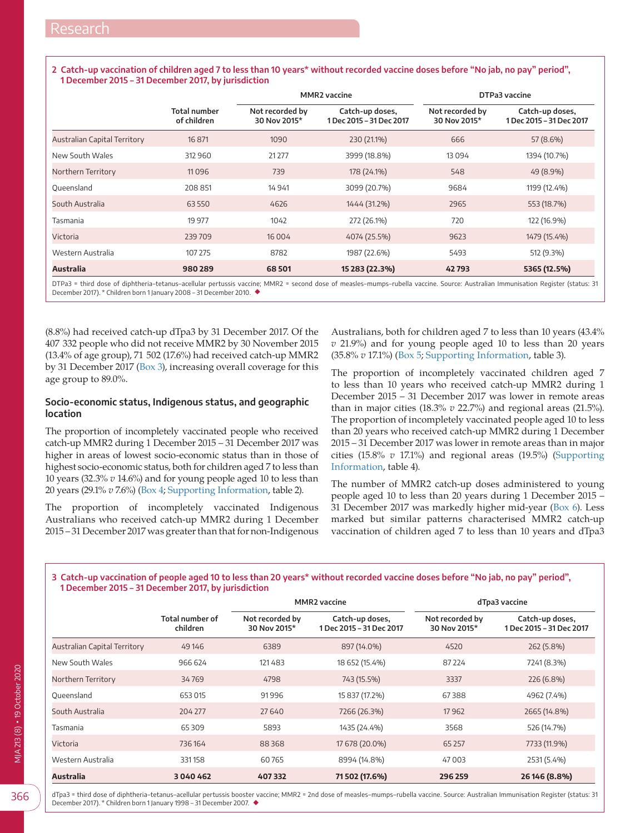## <span id="page-2-0"></span>**2 Catch-up vaccination of children aged 7 to less than 10 years\* without recorded vaccine doses before "No jab, no pay" period", 1 December 2015 – 31 December 2017, by jurisdiction**

|                                     | <b>Total number</b><br>of children | <b>MMR2</b> vaccine             |                                             | DTPa3 vaccine                   |                                             |
|-------------------------------------|------------------------------------|---------------------------------|---------------------------------------------|---------------------------------|---------------------------------------------|
|                                     |                                    | Not recorded by<br>30 Nov 2015* | Catch-up doses,<br>1 Dec 2015 - 31 Dec 2017 | Not recorded by<br>30 Nov 2015* | Catch-up doses,<br>1 Dec 2015 - 31 Dec 2017 |
| <b>Australian Capital Territory</b> | 16 871                             | 1090                            | 230 (21.1%)                                 | 666                             | 57 (8.6%)                                   |
| New South Wales                     | 312 960                            | 21277                           | 3999 (18.8%)                                | 13094                           | 1394 (10.7%)                                |
| Northern Territory                  | 11096                              | 739                             | 178 (24.1%)                                 | 548                             | 49 (8.9%)                                   |
| Oueensland                          | 208 851                            | 14 9 41                         | 3099 (20.7%)                                | 9684                            | 1199 (12.4%)                                |
| South Australia                     | 63550                              | 4626                            | 1444 (31.2%)                                | 2965                            | 553 (18.7%)                                 |
| Tasmania                            | 19 977                             | 1042                            | 272 (26.1%)                                 | 720                             | 122 (16.9%)                                 |
| Victoria                            | 239709                             | 16 0 0 4                        | 4074 (25.5%)                                | 9623                            | 1479 (15.4%)                                |
| Western Australia                   | 107 275                            | 8782                            | 1987 (22.6%)                                | 5493                            | 512 (9.3%)                                  |
| <b>Australia</b>                    | 980 289                            | 68501                           | 15 283 (22.3%)                              | 42793                           | 5365 (12.5%)                                |

DTPa3 = third dose of diphtheria–tetanus–acellular pertussis vaccine; MMR2 = second dose of measles–mumps–rubella vaccine. Source: Australian Immunisation Register (status: 31 December 2017). \* Children born 1 January 2008 – 31 December 2010. ◆

(8.8%) had received catch-up dTpa3 by 31 December 2017. Of the 407 332 people who did not receive MMR2 by 30 November 2015 (13.4% of age group), 71 502 (17.6%) had received catch-up MMR2 by 31 December 2017 ([Box 3](#page-2-1)), increasing overall coverage for this age group to 89.0%.

# **Socio-economic status, Indigenous status, and geographic location**

The proportion of incompletely vaccinated people who received catch-up MMR2 during 1 December 2015 – 31 December 2017 was higher in areas of lowest socio-economic status than in those of highest socio-economic status, both for children aged 7 to less than 10 years (32.3% *v* 14.6%) and for young people aged 10 to less than 20 years (29.1% *v* 7.6%) [\(Box 4](#page-3-0); [Supporting Information](#page-5-4), table 2).

The proportion of incompletely vaccinated Indigenous Australians who received catch-up MMR2 during 1 December 2015 – 31 December 2017 was greater than that for non-Indigenous Australians, both for children aged 7 to less than 10 years (43.4% *v* 21.9%) and for young people aged 10 to less than 20 years (35.8% *v* 17.1%) ([Box 5;](#page-3-1) [Supporting Information,](#page-5-4) table 3).

The proportion of incompletely vaccinated children aged 7 to less than 10 years who received catch-up MMR2 during 1 December 2015 – 31 December 2017 was lower in remote areas than in major cities (18.3% *v* 22.7%) and regional areas (21.5%). The proportion of incompletely vaccinated people aged 10 to less than 20 years who received catch-up MMR2 during 1 December 2015 – 31 December 2017 was lower in remote areas than in major cities (15.8% *v* 17.1%) and regional areas (19.5%) [\(Supporting](#page-5-4)  [Information](#page-5-4), table 4).

The number of MMR2 catch-up doses administered to young people aged 10 to less than 20 years during 1 December 2015 – 31 December 2017 was markedly higher mid-year [\(Box 6](#page-4-10)). Less marked but similar patterns characterised MMR2 catch-up vaccination of children aged 7 to less than 10 years and dTpa3

# <span id="page-2-1"></span>**3 Catch-up vaccination of people aged 10 to less than 20 years\* without recorded vaccine doses before "No jab, no pay" period", 1 December 2015 – 31 December 2017, by jurisdiction**

|                                     | Total number of<br>children | <b>MMR2</b> vaccine             |                                             | dTpa3 vaccine                   |                                             |
|-------------------------------------|-----------------------------|---------------------------------|---------------------------------------------|---------------------------------|---------------------------------------------|
|                                     |                             | Not recorded by<br>30 Nov 2015* | Catch-up doses,<br>1 Dec 2015 - 31 Dec 2017 | Not recorded by<br>30 Nov 2015* | Catch-up doses,<br>1 Dec 2015 - 31 Dec 2017 |
| <b>Australian Capital Territory</b> | 49 14 6                     | 6389                            | 897 (14.0%)                                 | 4520                            | 262 (5.8%)                                  |
| New South Wales                     | 966 624                     | 121483                          | 18 652 (15.4%)                              | 87 2 24                         | 7241 (8.3%)                                 |
| Northern Territory                  | 34769                       | 4798                            | 743 (15.5%)                                 | 3337                            | 226 (6.8%)                                  |
| Oueensland                          | 653 015                     | 91996                           | 15 837 (17.2%)                              | 67388                           | 4962 (7.4%)                                 |
| South Australia                     | 204 277                     | 27 640                          | 7266 (26.3%)                                | 17962                           | 2665 (14.8%)                                |
| Tasmania                            | 65309                       | 5893                            | 1435 (24.4%)                                | 3568                            | 526 (14.7%)                                 |
| Victoria                            | 736164                      | 88368                           | 17 678 (20.0%)                              | 65 2 57                         | 7733 (11.9%)                                |
| Western Australia                   | 331158                      | 60765                           | 8994 (14.8%)                                | 47003                           | 2531 (5.4%)                                 |
| Australia                           | 3040462                     | 407332                          | 71 502 (17.6%)                              | 296 259                         | 26 146 (8.8%)                               |

366

dTpa3 = third dose of diphtheria–tetanus–acellular pertussis booster vaccine; MMR2 = 2nd dose of measles–mumps–rubella vaccine. Source: Australian Immunisation Register (status: 31 December 2017). \* Children born 1 January 1998 – 31 December 2007. ◆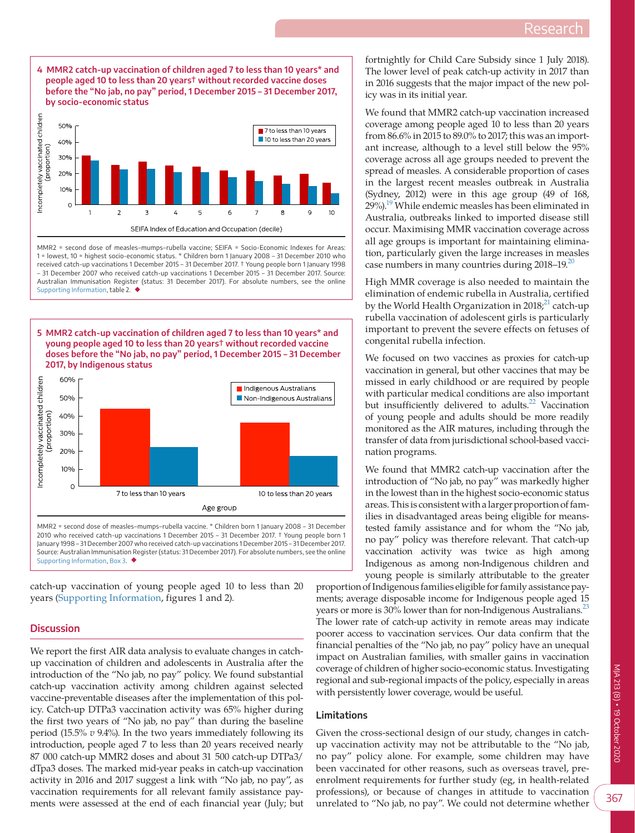<span id="page-3-0"></span>

MMR2 = second dose of measles-mumps-rubella vaccine; SEIFA = Socio-Economic Indexes for Areas: 1 = lowest, 10 = highest socio-economic status. \* Children born 1 January 2008 – 31 December 2010 who received catch-up vaccinations 1 December 2015 – 31 December 2017. † Young people born 1 January 1998 – 31 December 2007 who received catch-up vaccinations 1 December 2015 – 31 December 2017. Source: Australian Immunisation Register (status: 31 December 2017). For absolute numbers, see the online [Supporting Information](#page-5-4), table 2. ◆

<span id="page-3-1"></span>



MMR2 = second dose of measles–mumps–rubella vaccine. \* Children born 1 January 2008 – 31 December 2010 who received catch-up vaccinations 1 December 2015 – 31 December 2017. † Young people born 1 January 1998 – 31 December 2007 who received catch-up vaccinations 1 December 2015 – 31 December 2017. Source: Australian Immunisation Register (status: 31 December 2017). For absolute numbers, see the online [Supporting Information](#page-5-4), [Box 3](#page-2-1). ◆

catch-up vaccination of young people aged 10 to less than 20 years ([Supporting Information](#page-5-4), figures 1 and 2).

#### **Discussion**

We report the first AIR data analysis to evaluate changes in catchup vaccination of children and adolescents in Australia after the introduction of the "No jab, no pay" policy. We found substantial catch-up vaccination activity among children against selected vaccine-preventable diseases after the implementation of this policy. Catch-up DTPa3 vaccination activity was 65% higher during the first two years of "No jab, no pay" than during the baseline period (15.5% *v* 9.4%). In the two years immediately following its introduction, people aged 7 to less than 20 years received nearly 87 000 catch-up MMR2 doses and about 31 500 catch-up DTPa3/ dTpa3 doses. The marked mid-year peaks in catch-up vaccination activity in 2016 and 2017 suggest a link with "No jab, no pay", as vaccination requirements for all relevant family assistance payments were assessed at the end of each financial year (July; but fortnightly for Child Care Subsidy since 1 July 2018). The lower level of peak catch-up activity in 2017 than in 2016 suggests that the major impact of the new policy was in its initial year.

We found that MMR2 catch-up vaccination increased coverage among people aged 10 to less than 20 years from 86.6% in 2015 to 89.0% to 2017; this was an important increase, although to a level still below the 95% coverage across all age groups needed to prevent the spread of measles. A considerable proportion of cases in the largest recent measles outbreak in Australia (Sydney, 2012) were in this age group (49 of 168, 29%).<sup>19</sup> While endemic measles has been eliminated in Australia, outbreaks linked to imported disease still occur. Maximising MMR vaccination coverage across all age groups is important for maintaining elimination, particularly given the large increases in measles case numbers in many countries during  $2018-19$  $2018-19$ .

High MMR coverage is also needed to maintain the elimination of endemic rubella in Australia, certified by the World Health Organization in 2018; $^{21}$  catch-up rubella vaccination of adolescent girls is particularly important to prevent the severe effects on fetuses of congenital rubella infection.

We focused on two vaccines as proxies for catch-up vaccination in general, but other vaccines that may be missed in early childhood or are required by people with particular medical conditions are also important but insufficiently delivered to adults.<sup>22</sup> Vaccination of young people and adults should be more readily monitored as the AIR matures, including through the transfer of data from jurisdictional school-based vaccination programs.

We found that MMR2 catch-up vaccination after the introduction of "No jab, no pay" was markedly higher in the lowest than in the highest socio-economic status areas. This is consistent with a larger proportion of families in disadvantaged areas being eligible for meanstested family assistance and for whom the "No jab, no pay" policy was therefore relevant. That catch-up vaccination activity was twice as high among Indigenous as among non-Indigenous children and young people is similarly attributable to the greater

proportion of Indigenous families eligible for family assistance payments; average disposable income for Indigenous people aged 15 years or more is 30% lower than for non-Indigenous Australians.<sup>23</sup> The lower rate of catch-up activity in remote areas may indicate poorer access to vaccination services. Our data confirm that the financial penalties of the "No jab, no pay" policy have an unequal impact on Australian families, with smaller gains in vaccination coverage of children of higher socio-economic status. Investigating regional and sub-regional impacts of the policy, especially in areas with persistently lower coverage, would be useful.

# **Limitations**

Given the cross-sectional design of our study, changes in catchup vaccination activity may not be attributable to the "No jab, no pay" policy alone. For example, some children may have been vaccinated for other reasons, such as overseas travel, preenrolment requirements for further study (eg, in health-related professions), or because of changes in attitude to vaccination unrelated to "No jab, no pay". We could not determine whether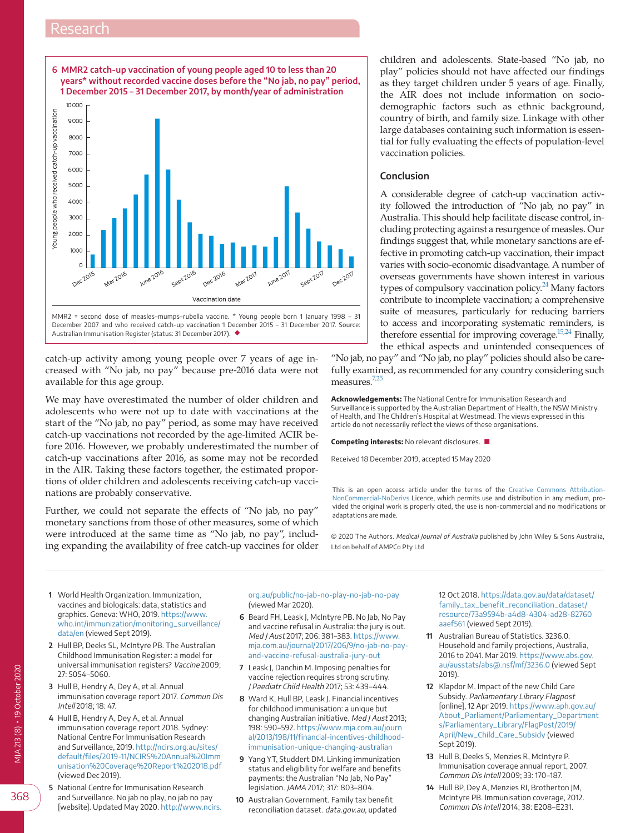# Research

<span id="page-4-10"></span>

MMR2 = second dose of measles–mumps–rubella vaccine. \* Young people born 1 January 1998 – 31 December 2007 and who received catch-up vaccination 1 December 2015 – 31 December 2017. Source: Australian Immunisation Register (status: 31 December 2017). ◆

catch-up activity among young people over 7 years of age increased with "No jab, no pay" because pre-2016 data were not available for this age group.

We may have overestimated the number of older children and adolescents who were not up to date with vaccinations at the start of the "No jab, no pay" period, as some may have received catch-up vaccinations not recorded by the age-limited ACIR before 2016. However, we probably underestimated the number of catch-up vaccinations after 2016, as some may not be recorded in the AIR. Taking these factors together, the estimated proportions of older children and adolescents receiving catch-up vaccinations are probably conservative.

Further, we could not separate the effects of "No jab, no pay" monetary sanctions from those of other measures, some of which were introduced at the same time as "No jab, no pay", including expanding the availability of free catch-up vaccines for older children and adolescents. State-based "No jab, no play" policies should not have affected our findings as they target children under 5 years of age. Finally, the AIR does not include information on sociodemographic factors such as ethnic background, country of birth, and family size. Linkage with other large databases containing such information is essential for fully evaluating the effects of population-level vaccination policies.

#### **Conclusion**

A considerable degree of catch-up vaccination activity followed the introduction of "No jab, no pay" in Australia. This should help facilitate disease control, including protecting against a resurgence of measles. Our findings suggest that, while monetary sanctions are effective in promoting catch-up vaccination, their impact varies with socio-economic disadvantage. A number of overseas governments have shown interest in various types of compulsory vaccination policy. $24$  Many factors contribute to incomplete vaccination; a comprehensive suite of measures, particularly for reducing barriers to access and incorporating systematic reminders, is therefore essential for improving coverage.<sup>15,24</sup> Finally, the ethical aspects and unintended consequences of

"No jab, no pay" and "No jab, no play" policies should also be carefully examined, as recommended for any country considering such measures<sup>7,25</sup>

**Acknowledgements:** The National Centre for Immunisation Research and Surveillance is supported by the Australian Department of Health, the NSW Ministry of Health, and The Children's Hospital at Westmead. The views expressed in this article do not necessarily reflect the views of these organisations.

**Competing interests:** No relevant disclosures. ■

Received 18 December 2019, accepted 15 May 2020

This is an open access article under the terms of the [Creative Commons Attribution-](http://creativecommons.org/licenses/by-nc-nd/4.0/)[NonCommercial-NoDerivs](http://creativecommons.org/licenses/by-nc-nd/4.0/) Licence, which permits use and distribution in any medium, provided the original work is properly cited, the use is non-commercial and no modifications or adaptations are made.

© 2020 The Authors. Medical Journal of Australia published by John Wiley & Sons Australia, Ltd on behalf of AMPCo Pty Ltd

- <span id="page-4-0"></span> **1** World Health Organization. Immunization, vaccines and biologicals: data, statistics and graphics. Geneva: WHO, 2019. [https://www.](https://www.who.int/immunization/monitoring_surveillance/data/en) [who.int/immunization/monitoring\\_surveillance/](https://www.who.int/immunization/monitoring_surveillance/data/en) [data/en](https://www.who.int/immunization/monitoring_surveillance/data/en) (viewed Sept 2019).
- <span id="page-4-1"></span> **2** Hull BP, Deeks SL, McIntyre PB. The Australian Childhood Immunisation Register: a model for universal immunisation registers? Vaccine 2009; 27: 5054–5060.
- <span id="page-4-8"></span> **3** Hull B, Hendry A, Dey A, et al. Annual immunisation coverage report 2017. Commun Dis Intell 2018; 18: 47.
- <span id="page-4-2"></span> **4** Hull B, Hendry A, Dey A, et al. Annual immunisation coverage report 2018. Sydney: National Centre For Immunisation Research and Surveillance, 2019. [http://ncirs.org.au/sites/](http://ncirs.org.au/sites/default/files/2019-11/NCIRS Annual Immunisation Coverage Report 2018.pdf) [default/files/2019-11/NCIRS%20Annual%20Imm](http://ncirs.org.au/sites/default/files/2019-11/NCIRS Annual Immunisation Coverage Report 2018.pdf) [unisation%20Coverage%20Report%202018.pdf](http://ncirs.org.au/sites/default/files/2019-11/NCIRS Annual Immunisation Coverage Report 2018.pdf) (viewed Dec 2019).
- <span id="page-4-3"></span> **5** National Centre for Immunisation Research and Surveillance. No jab no play, no jab no pay [website]. Updated May 2020. [http://www.ncirs.](http://www.ncirs.org.au/public/no-jab-no-play-no-jab-no-pay)

[org.au/public/no-jab-no-play-no-jab-no-pay](http://www.ncirs.org.au/public/no-jab-no-play-no-jab-no-pay) (viewed Mar 2020).

- <span id="page-4-4"></span> **6** Beard FH, Leask J, McIntyre PB. No Jab, No Pay and vaccine refusal in Australia: the jury is out. Med J Aust 2017; 206: 381–383. [https://www.](https://www.mja.com.au/journal/2017/206/9/no-jab-no-pay-and-vaccine-refusal-australia-jury-out) [mja.com.au/journal/2017/206/9/no-jab-no-pay](https://www.mja.com.au/journal/2017/206/9/no-jab-no-pay-and-vaccine-refusal-australia-jury-out)[and-vaccine-refusal-australia-jury-out](https://www.mja.com.au/journal/2017/206/9/no-jab-no-pay-and-vaccine-refusal-australia-jury-out)
- <span id="page-4-6"></span> **7** Leask J, Danchin M. Imposing penalties for vaccine rejection requires strong scrutiny. J Paediatr Child Health 2017; 53: 439–444.
- <span id="page-4-5"></span> **8** Ward K, Hull BP, Leask J. Financial incentives for childhood immunisation: a unique but changing Australian initiative. Med J Aust 2013; 198: 590–592. [https://www.mja.com.au/journ](https://www.mja.com.au/journal/2013/198/11/financial-incentives-childhood-immunisation-unique-changing-australian) [al/2013/198/11/financial-incentives-childhood](https://www.mja.com.au/journal/2013/198/11/financial-incentives-childhood-immunisation-unique-changing-australian)[immunisation-unique-changing-australian](https://www.mja.com.au/journal/2013/198/11/financial-incentives-childhood-immunisation-unique-changing-australian)
- <span id="page-4-9"></span> **9** Yang YT, Studdert DM. Linking immunization status and eligibility for welfare and benefits payments: the Australian "No Jab, No Pay" legislation. JAMA 2017; 317: 803–804.
- <span id="page-4-7"></span>**10** Australian Government. Family tax benefit reconciliation dataset. data.gov.au, updated

12 Oct 2018. [https://data.gov.au/data/dataset/](https://data.gov.au/data/dataset/family_tax_benefit_reconciliation_dataset/resource/73a9594b-a4d8-4304-ad28-82760aaef561) [family\\_tax\\_benefit\\_reconciliation\\_dataset/](https://data.gov.au/data/dataset/family_tax_benefit_reconciliation_dataset/resource/73a9594b-a4d8-4304-ad28-82760aaef561) [resource/73a9594b-a4d8-4304-ad28-82760](https://data.gov.au/data/dataset/family_tax_benefit_reconciliation_dataset/resource/73a9594b-a4d8-4304-ad28-82760aaef561) [aaef561](https://data.gov.au/data/dataset/family_tax_benefit_reconciliation_dataset/resource/73a9594b-a4d8-4304-ad28-82760aaef561) (viewed Sept 2019).

- **11** Australian Bureau of Statistics. 3236.0. Household and family projections, Australia, 2016 to 2041. Mar 2019. [https://www.abs.gov.](https://www.abs.gov.au/ausstats/abs@.nsf/mf/3236.0) [au/ausstats/abs@.nsf/mf/3236.0](https://www.abs.gov.au/ausstats/abs@.nsf/mf/3236.0) (viewed Sept 2019).
- **12** Klapdor M. Impact of the new Child Care Subsidy. Parliamentary Library Flagpost [online], 12 Apr 2019. [https://www.aph.gov.au/](https://www.aph.gov.au/About_Parliament/Parliamentary_Departments/Parliamentary_Library/FlagPost/2019/April/New_Child_Care_Subsidy) [About\\_Parliament/Parliamentary\\_Department](https://www.aph.gov.au/About_Parliament/Parliamentary_Departments/Parliamentary_Library/FlagPost/2019/April/New_Child_Care_Subsidy) [s/Parliamentary\\_Library/FlagPost/2019/](https://www.aph.gov.au/About_Parliament/Parliamentary_Departments/Parliamentary_Library/FlagPost/2019/April/New_Child_Care_Subsidy) [April/New\\_Child\\_Care\\_Subsidy](https://www.aph.gov.au/About_Parliament/Parliamentary_Departments/Parliamentary_Library/FlagPost/2019/April/New_Child_Care_Subsidy) (viewed Sept 2019).
- **13** Hull B, Deeks S, Menzies R, McIntyre P. Immunisation coverage annual report, 2007. Commun Dis Intell 2009; 33: 170–187.
- **14** Hull BP, Dey A, Menzies RI, Brotherton JM, McIntyre PB. Immunisation coverage, 2012. Commun Dis Intell 2014; 38: E208–E231.

368